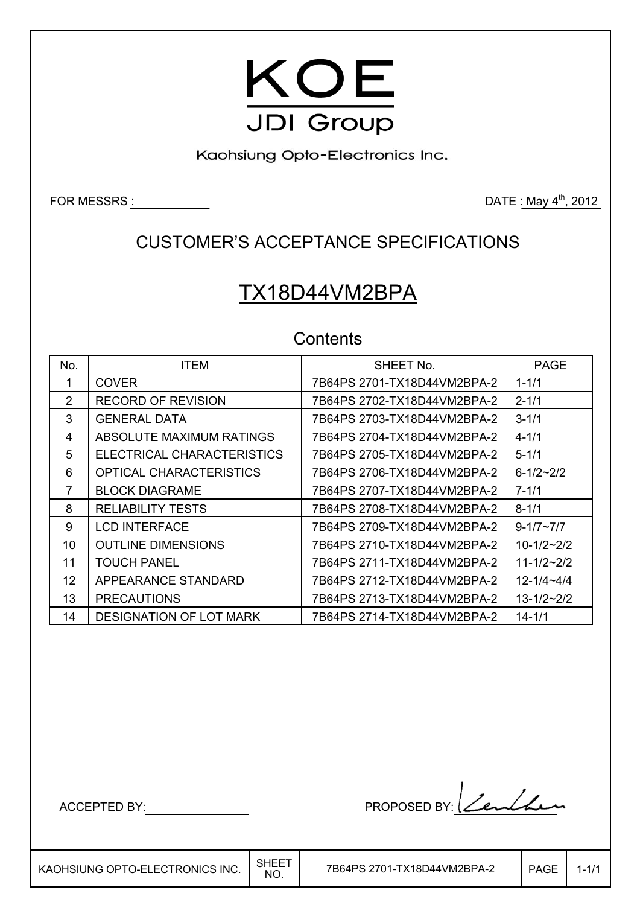

Kaohsiung Opto-Electronics Inc.

FOR MESSRS  $\underline{\hspace{1cm}}$  2012

## CUSTOMER'S ACCEPTANCE SPECIFICATIONS

# TX18D44VM2BPA

## **Contents**

| No. | <b>ITEM</b>                    | SHEET No.                   | <b>PAGE</b>         |
|-----|--------------------------------|-----------------------------|---------------------|
| 1   | <b>COVER</b>                   | 7B64PS 2701-TX18D44VM2BPA-2 | $1 - 1/1$           |
| 2   | <b>RECORD OF REVISION</b>      | 7B64PS 2702-TX18D44VM2BPA-2 | $2 - 1/1$           |
| 3   | <b>GENERAL DATA</b>            |                             | $3 - 1/1$           |
| 4   | ABSOLUTE MAXIMUM RATINGS       |                             | $4 - 1/1$           |
| 5   | ELECTRICAL CHARACTERISTICS     |                             | $5 - 1/1$           |
| 6   | OPTICAL CHARACTERISTICS        | 7B64PS 2706-TX18D44VM2BPA-2 | $6 - 1/2 - 2/2$     |
| 7   | <b>BLOCK DIAGRAME</b>          |                             | $7 - 1/1$           |
| 8   | <b>RELIABILITY TESTS</b>       |                             | $8 - 1/1$           |
| 9   | <b>LCD INTERFACE</b>           | 7B64PS 2709-TX18D44VM2BPA-2 | $9 - 1/7 \sim 7/7$  |
| 10  | <b>OUTLINE DIMENSIONS</b>      | 7B64PS 2710-TX18D44VM2BPA-2 | $10-1/2-2/2$        |
| 11  | <b>TOUCH PANEL</b>             | 7B64PS 2711-TX18D44VM2BPA-2 | $11 - 1/2 - 2/2$    |
| 12  | APPEARANCE STANDARD            |                             | $12 - 1/4 - 4/4$    |
| 13  | <b>PRECAUTIONS</b>             |                             | $13 - 1/2 \sim 2/2$ |
| 14  | <b>DESIGNATION OF LOT MARK</b> |                             | $14 - 1/1$          |

 $\overline{\phantom{a}}$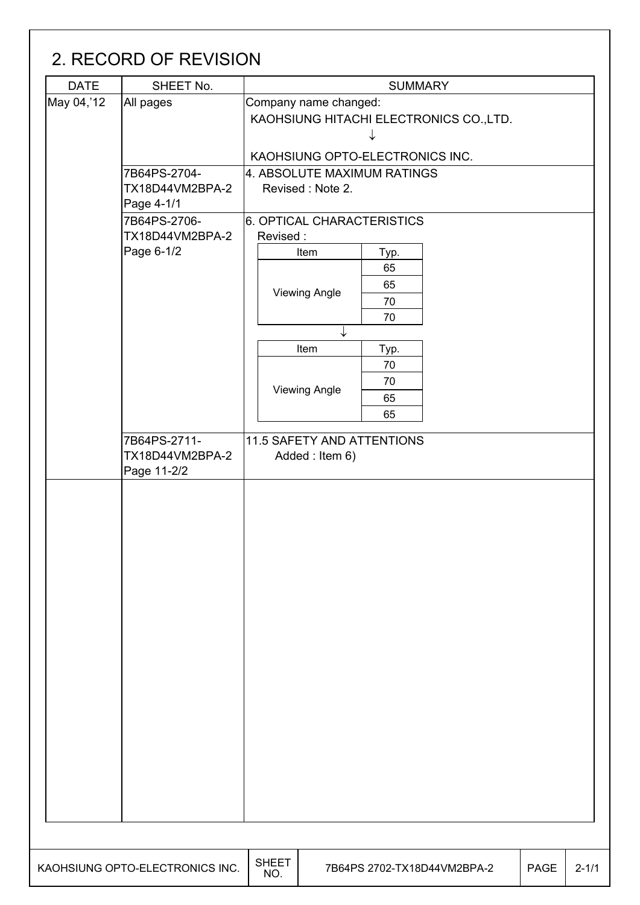## 2. RECORD OF REVISION

| May 04,'12<br>Company name changed:<br>All pages<br>KAOHSIUNG HITACHI ELECTRONICS CO., LTD.<br>KAOHSIUNG OPTO-ELECTRONICS INC.<br>4. ABSOLUTE MAXIMUM RATINGS<br>7B64PS-2704-<br>TX18D44VM2BPA-2<br>Revised: Note 2.<br>Page 4-1/1<br>7B64PS-2706-<br>6. OPTICAL CHARACTERISTICS<br>TX18D44VM2BPA-2<br>Revised:<br>Page 6-1/2<br>Item<br>Typ.<br>65<br>65<br><b>Viewing Angle</b><br>70<br>70<br>↓<br>Item<br>Typ.<br>70<br>70<br><b>Viewing Angle</b><br>65<br>65<br>7B64PS-2711-<br>11.5 SAFETY AND ATTENTIONS<br>TX18D44VM2BPA-2<br>Added: Item 6)<br>Page 11-2/2 | <b>DATE</b> | SHEET No. |  |  | <b>SUMMARY</b> |  |           |  |  |  |
|----------------------------------------------------------------------------------------------------------------------------------------------------------------------------------------------------------------------------------------------------------------------------------------------------------------------------------------------------------------------------------------------------------------------------------------------------------------------------------------------------------------------------------------------------------------------|-------------|-----------|--|--|----------------|--|-----------|--|--|--|
|                                                                                                                                                                                                                                                                                                                                                                                                                                                                                                                                                                      |             |           |  |  |                |  |           |  |  |  |
|                                                                                                                                                                                                                                                                                                                                                                                                                                                                                                                                                                      |             |           |  |  |                |  |           |  |  |  |
|                                                                                                                                                                                                                                                                                                                                                                                                                                                                                                                                                                      |             |           |  |  |                |  |           |  |  |  |
|                                                                                                                                                                                                                                                                                                                                                                                                                                                                                                                                                                      |             |           |  |  |                |  |           |  |  |  |
|                                                                                                                                                                                                                                                                                                                                                                                                                                                                                                                                                                      |             |           |  |  |                |  |           |  |  |  |
|                                                                                                                                                                                                                                                                                                                                                                                                                                                                                                                                                                      |             |           |  |  |                |  |           |  |  |  |
|                                                                                                                                                                                                                                                                                                                                                                                                                                                                                                                                                                      |             |           |  |  |                |  |           |  |  |  |
|                                                                                                                                                                                                                                                                                                                                                                                                                                                                                                                                                                      |             |           |  |  |                |  |           |  |  |  |
|                                                                                                                                                                                                                                                                                                                                                                                                                                                                                                                                                                      |             |           |  |  |                |  |           |  |  |  |
|                                                                                                                                                                                                                                                                                                                                                                                                                                                                                                                                                                      |             |           |  |  |                |  |           |  |  |  |
|                                                                                                                                                                                                                                                                                                                                                                                                                                                                                                                                                                      |             |           |  |  |                |  |           |  |  |  |
|                                                                                                                                                                                                                                                                                                                                                                                                                                                                                                                                                                      |             |           |  |  |                |  |           |  |  |  |
|                                                                                                                                                                                                                                                                                                                                                                                                                                                                                                                                                                      |             |           |  |  |                |  |           |  |  |  |
|                                                                                                                                                                                                                                                                                                                                                                                                                                                                                                                                                                      |             |           |  |  |                |  |           |  |  |  |
|                                                                                                                                                                                                                                                                                                                                                                                                                                                                                                                                                                      |             |           |  |  |                |  |           |  |  |  |
|                                                                                                                                                                                                                                                                                                                                                                                                                                                                                                                                                                      |             |           |  |  |                |  |           |  |  |  |
|                                                                                                                                                                                                                                                                                                                                                                                                                                                                                                                                                                      |             |           |  |  |                |  |           |  |  |  |
|                                                                                                                                                                                                                                                                                                                                                                                                                                                                                                                                                                      |             |           |  |  |                |  |           |  |  |  |
|                                                                                                                                                                                                                                                                                                                                                                                                                                                                                                                                                                      |             |           |  |  |                |  |           |  |  |  |
|                                                                                                                                                                                                                                                                                                                                                                                                                                                                                                                                                                      |             |           |  |  |                |  |           |  |  |  |
|                                                                                                                                                                                                                                                                                                                                                                                                                                                                                                                                                                      |             |           |  |  |                |  |           |  |  |  |
|                                                                                                                                                                                                                                                                                                                                                                                                                                                                                                                                                                      |             |           |  |  |                |  |           |  |  |  |
|                                                                                                                                                                                                                                                                                                                                                                                                                                                                                                                                                                      |             |           |  |  |                |  |           |  |  |  |
|                                                                                                                                                                                                                                                                                                                                                                                                                                                                                                                                                                      |             |           |  |  |                |  |           |  |  |  |
|                                                                                                                                                                                                                                                                                                                                                                                                                                                                                                                                                                      |             |           |  |  |                |  |           |  |  |  |
|                                                                                                                                                                                                                                                                                                                                                                                                                                                                                                                                                                      |             |           |  |  |                |  |           |  |  |  |
|                                                                                                                                                                                                                                                                                                                                                                                                                                                                                                                                                                      |             |           |  |  |                |  |           |  |  |  |
| <b>SHEET</b><br>KAOHSIUNG OPTO-ELECTRONICS INC.<br>7B64PS 2702-TX18D44VM2BPA-2<br><b>PAGE</b>                                                                                                                                                                                                                                                                                                                                                                                                                                                                        |             |           |  |  |                |  | $2 - 1/1$ |  |  |  |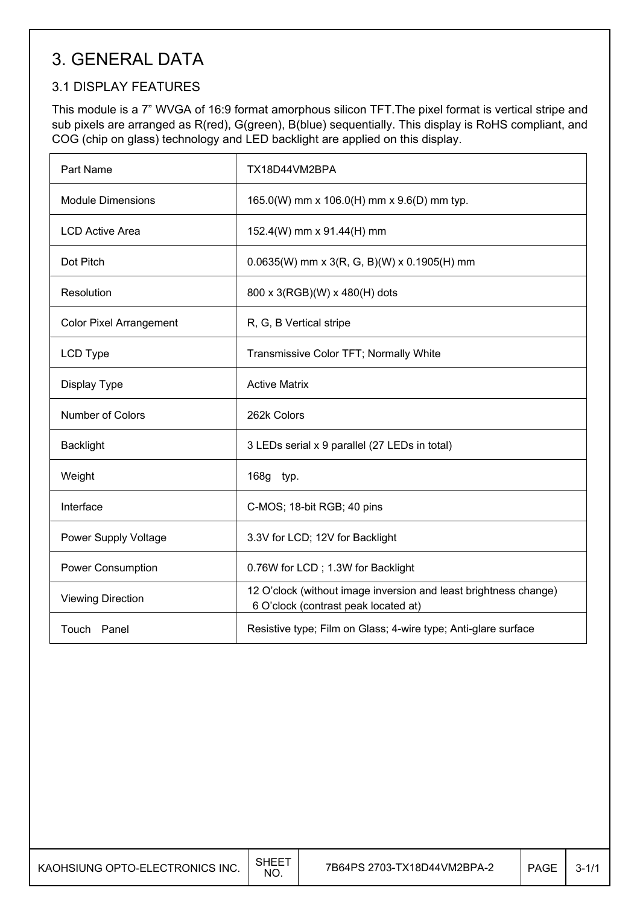## 3. GENERAL DATA

## 3.1 DISPLAY FEATURES

This module is a 7" WVGA of 16:9 format amorphous silicon TFT.The pixel format is vertical stripe and sub pixels are arranged as R(red), G(green), B(blue) sequentially. This display is RoHS compliant, and COG (chip on glass) technology and LED backlight are applied on this display.

| Part Name                      | TX18D44VM2BPA                                                                                            |
|--------------------------------|----------------------------------------------------------------------------------------------------------|
| <b>Module Dimensions</b>       | 165.0(W) mm x 106.0(H) mm x 9.6(D) mm typ.                                                               |
| <b>LCD Active Area</b>         | 152.4(W) mm x 91.44(H) mm                                                                                |
| Dot Pitch                      | $0.0635(W)$ mm x 3(R, G, B)(W) x 0.1905(H) mm                                                            |
| Resolution                     | 800 x 3(RGB)(W) x 480(H) dots                                                                            |
| <b>Color Pixel Arrangement</b> | R, G, B Vertical stripe                                                                                  |
| LCD Type                       | Transmissive Color TFT; Normally White                                                                   |
| Display Type                   | <b>Active Matrix</b>                                                                                     |
| Number of Colors               | 262k Colors                                                                                              |
| <b>Backlight</b>               | 3 LEDs serial x 9 parallel (27 LEDs in total)                                                            |
| Weight                         | 168g typ.                                                                                                |
| Interface                      | C-MOS; 18-bit RGB; 40 pins                                                                               |
| Power Supply Voltage           | 3.3V for LCD; 12V for Backlight                                                                          |
| <b>Power Consumption</b>       | 0.76W for LCD; 1.3W for Backlight                                                                        |
| <b>Viewing Direction</b>       | 12 O'clock (without image inversion and least brightness change)<br>6 O'clock (contrast peak located at) |
| Touch Panel                    | Resistive type; Film on Glass; 4-wire type; Anti-glare surface                                           |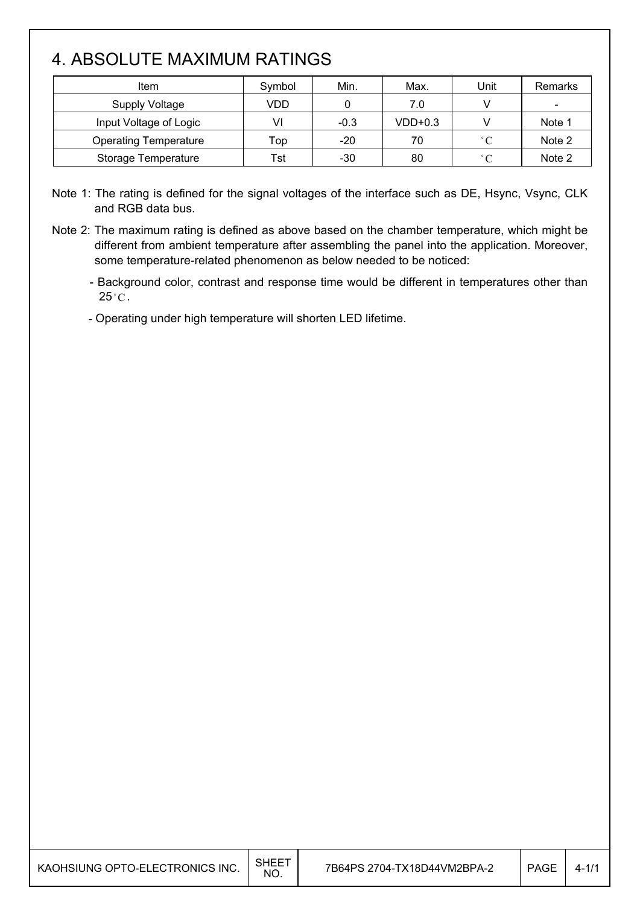## 4. ABSOLUTE MAXIMUM RATINGS

| Item                         | Symbol | Min.   | Max.      | Unit              | Remarks |
|------------------------------|--------|--------|-----------|-------------------|---------|
| <b>Supply Voltage</b>        | VDD    |        | 7.0       |                   |         |
| Input Voltage of Logic       | VI     | $-0.3$ | $VDD+0.3$ |                   | Note 1  |
| <b>Operating Temperature</b> | Top    | $-20$  | 70        | $^{\circ}$ $\cap$ | Note 2  |
| Storage Temperature          | Tst    | -30    | 80        | $^{\circ}$ $\cap$ | Note 2  |

Note 1: The rating is defined for the signal voltages of the interface such as DE, Hsync, Vsync, CLK and RGB data bus.

Note 2: The maximum rating is defined as above based on the chamber temperature, which might be different from ambient temperature after assembling the panel into the application. Moreover, some temperature-related phenomenon as below needed to be noticed:

- Background color, contrast and response time would be different in temperatures other than  $25^{\circ}$ C.

- Operating under high temperature will shorten LED lifetime.

| KAOHSIUNG OPTO-ELECTRONICS INC. | $SHEE^{\intercal}$<br>NO. | 7B64PS 2704-TX18D44VM2BPA-2 | <b>PAGE</b> | $4 - 1$ |
|---------------------------------|---------------------------|-----------------------------|-------------|---------|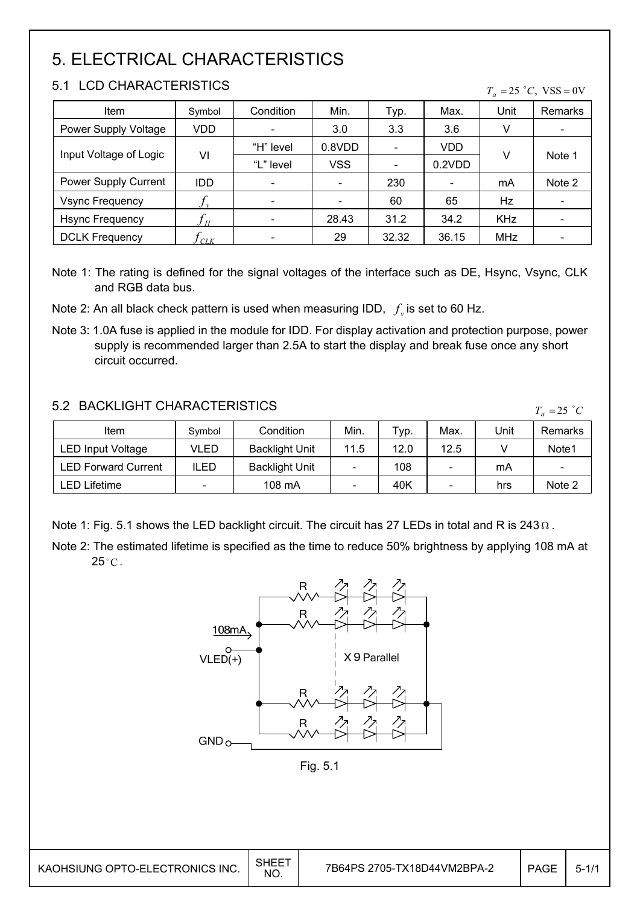## 5. ELECTRICAL CHARACTERISTICS

### 5.1 LCD CHARACTERISTICS

| Item                   | Symbol     | Condition | Min.       | Typ.                     | Max.   | Unit       | Remarks                  |
|------------------------|------------|-----------|------------|--------------------------|--------|------------|--------------------------|
| Power Supply Voltage   | VDD        |           | 3.0        | 3.3                      | 3.6    | V          | $\overline{\phantom{a}}$ |
|                        |            | "H" level | 0.8VDD     |                          | VDD    |            |                          |
| Input Voltage of Logic | VI         | "L" level | <b>VSS</b> | $\overline{\phantom{a}}$ | 0.2VDD | V          | Note 1                   |
| Power Supply Current   | <b>IDD</b> |           |            | 230                      |        | mA         | Note 2                   |
| <b>Vsync Frequency</b> | $J\nu$     |           |            | 60                       | 65     | Hz         |                          |
| <b>Hsync Frequency</b> | Jн         |           | 28.43      | 31.2                     | 34.2   | <b>KHz</b> |                          |
| <b>DCLK Frequency</b>  | CLK        |           | 29         | 32.32                    | 36.15  | MHz        |                          |

Note 1: The rating is defined for the signal voltages of the interface such as DE, Hsync, Vsync, CLK and RGB data bus.

Note 2: An all black check pattern is used when measuring IDD,  $f_v$  is set to 60 Hz.

Note 3: 1.0A fuse is applied in the module for IDD. For display activation and protection purpose, power supply is recommended larger than 2.5A to start the display and break fuse once any short circuit occurred.

### 5.2 BACKLIGHT CHARACTERISTICS

Item  $\vert$  Symbol | Condition | Min. | Typ. | Max. | Unit | Remarks LED Input Voltage | VLED | Backlight Unit | 11.5 | 12.0 | 12.5 | V | Note1 LED Forward Current | ILED | Backlight Unit |  $-$  | 108 |  $-$  | mA |  $-$ LED Lifetime  $\vert$  -  $\vert$  108 mA  $\vert$  -  $\vert$  40K  $\vert$  -  $\vert$  hrs  $\vert$  Note 2  $T_a = 25$  °C

Note 1: Fig. 5.1 shows the LED backlight circuit. The circuit has 27 LEDs in total and R is 243  $\Omega$ .

Note 2: The estimated lifetime is specified as the time to reduce 50% brightness by applying 108 mA at  $25^{\circ}$ C.



 $T_a = 25$  °C, VSS = 0V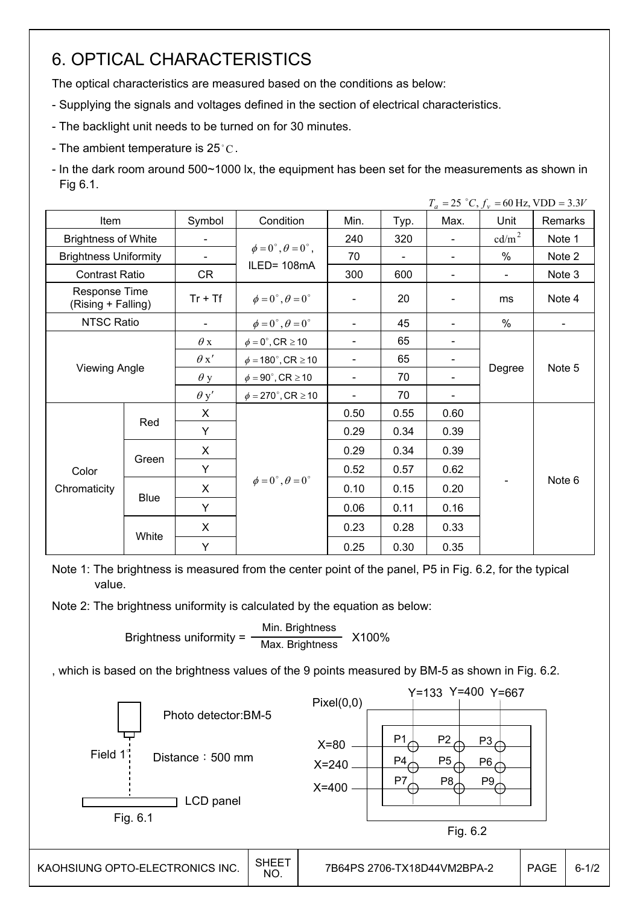## 6. OPTICAL CHARACTERISTICS

The optical characteristics are measured based on the conditions as below:

- Supplying the signals and voltages defined in the section of electrical characteristics.

- The backlight unit needs to be turned on for 30 minutes.
- The ambient temperature is  $25^{\circ}$ C.
- In the dark room around 500~1000 lx, the equipment has been set for the measurements as shown in Fig 6.1.

|                                     |                      |             |                                          |                              |        |                              |                          | $T_a = 25 °C$ , $f_v = 60 Hz$ , VDD = 3.3V |
|-------------------------------------|----------------------|-------------|------------------------------------------|------------------------------|--------|------------------------------|--------------------------|--------------------------------------------|
| Item                                |                      | Symbol      | Condition                                | Min.                         | Typ.   | Max.                         | Unit                     | Remarks                                    |
| <b>Brightness of White</b>          |                      |             |                                          | 240                          | 320    | $\blacksquare$               | cd/m <sup>2</sup>        | Note 1                                     |
| <b>Brightness Uniformity</b>        |                      |             | $\phi = 0^{\circ}, \theta = 0^{\circ}$ , | 70                           | $\sim$ | $\blacksquare$               | $\%$                     | Note 2                                     |
| <b>Contrast Ratio</b>               |                      | CR          | ILED=108mA                               | 300                          | 600    | $\blacksquare$               | $\overline{\phantom{a}}$ | Note 3                                     |
| Response Time<br>(Rising + Falling) |                      | $Tr + Tf$   | $\phi = 0^{\circ}, \theta = 0^{\circ}$   | Ξ.                           | 20     | $\qquad \qquad \blacksquare$ | ms                       | Note 4                                     |
| <b>NTSC Ratio</b>                   |                      |             | $\phi = 0^{\circ}, \theta = 0^{\circ}$   | Ξ.                           | 45     | Ξ.                           | %                        | $\blacksquare$                             |
|                                     |                      | $\theta$ x  | $\phi = 0^\circ$ , CR $\geq 10$          | $\qquad \qquad \blacksquare$ | 65     | $\overline{\phantom{a}}$     |                          |                                            |
|                                     |                      | $\theta x'$ | $\phi = 180^{\circ}$ , CR $\geq 10$      | Ξ.                           | 65     |                              |                          |                                            |
|                                     | <b>Viewing Angle</b> |             | $\phi = 90^\circ$ , CR $\geq 10$         | Ξ.                           | 70     |                              | Degree                   | Note 5                                     |
|                                     |                      | $\theta$ y' | $\phi = 270^\circ$ , CR $\geq 10$        | -                            | 70     |                              |                          |                                            |
|                                     |                      | X           |                                          | 0.50                         | 0.55   | 0.60                         |                          |                                            |
|                                     | Red                  | Y           |                                          | 0.29                         | 0.34   | 0.39                         |                          |                                            |
|                                     |                      | X           |                                          | 0.29                         | 0.34   | 0.39                         |                          |                                            |
| Color                               | Green                | Y           |                                          | 0.52                         | 0.57   | 0.62                         |                          |                                            |
| Chromaticity                        |                      | X.          | $\phi = 0^{\circ}, \theta = 0^{\circ}$   | 0.10                         | 0.15   | 0.20                         | $\overline{\phantom{0}}$ | Note 6                                     |
|                                     | <b>Blue</b>          | Y           |                                          | 0.06                         | 0.11   | 0.16                         |                          |                                            |
|                                     |                      | X           |                                          | 0.23                         | 0.28   | 0.33                         |                          |                                            |
|                                     | White                | Y           |                                          | 0.25                         | 0.30   | 0.35                         |                          |                                            |

Note 1: The brightness is measured from the center point of the panel, P5 in Fig. 6.2, for the typical value.

Note 2: The brightness uniformity is calculated by the equation as below:

Brightness uniformity =  $\frac{\text{Min.~Brightness}}{\text{Maximum~Rightness}}$  X100% Max. Brightness

, which is based on the brightness values of the 9 points measured by BM-5 as shown in Fig. 6.2.

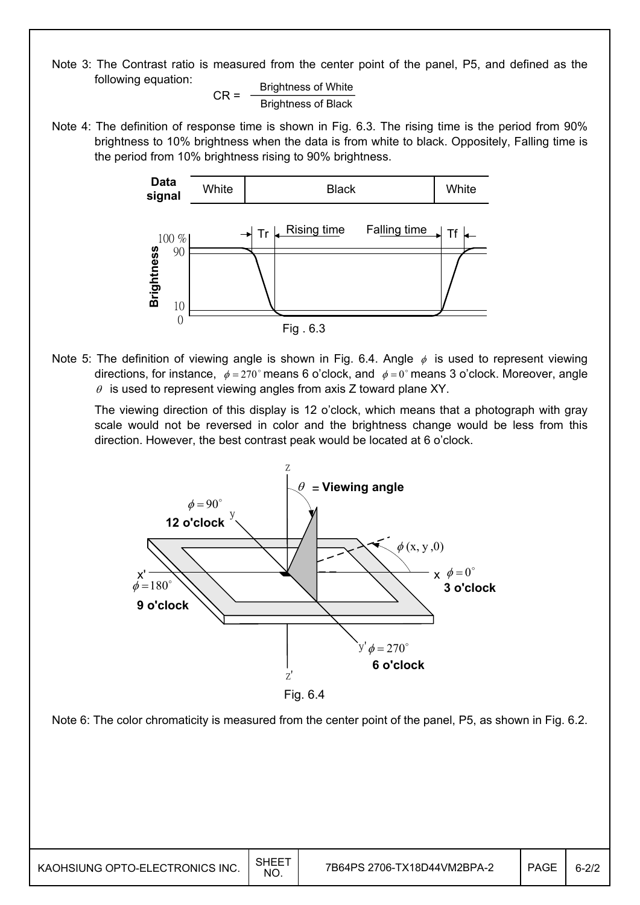Note 3: The Contrast ratio is measured from the center point of the panel, P5, and defined as the following equation:

 $CR =$  Brightness of White Brightness of Black

Note 4: The definition of response time is shown in Fig. 6.3. The rising time is the period from 90% brightness to 10% brightness when the data is from white to black. Oppositely, Falling time is the period from 10% brightness rising to 90% brightness.



Note 5: The definition of viewing angle is shown in Fig. 6.4. Angle  $\phi$  is used to represent viewing directions, for instance,  $\phi = 270^\circ$  means 6 o'clock, and  $\phi = 0^\circ$  means 3 o'clock. Moreover, angle  $\theta$  is used to represent viewing angles from axis Z toward plane XY.

 The viewing direction of this display is 12 o'clock, which means that a photograph with gray scale would not be reversed in color and the brightness change would be less from this direction. However, the best contrast peak would be located at 6 o'clock.



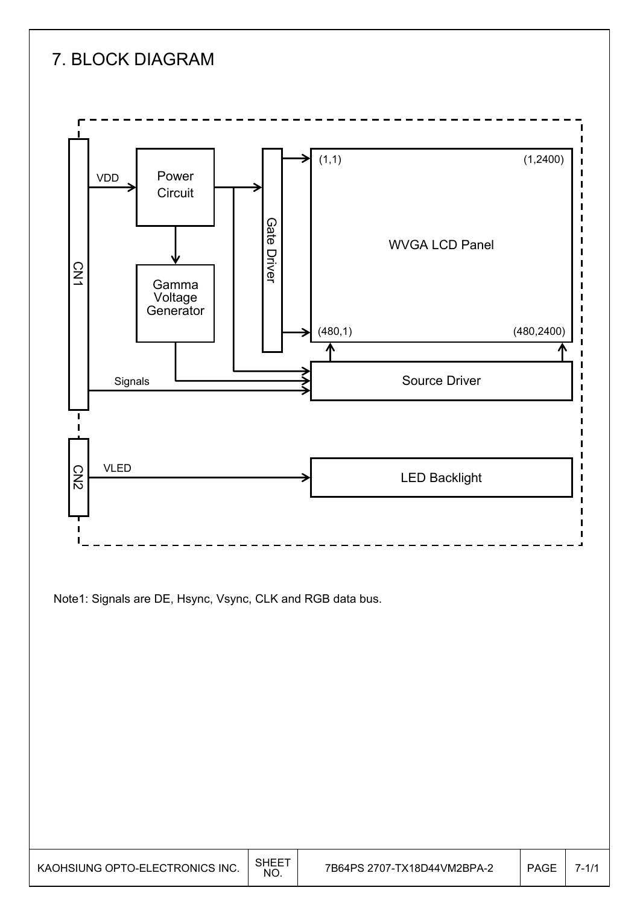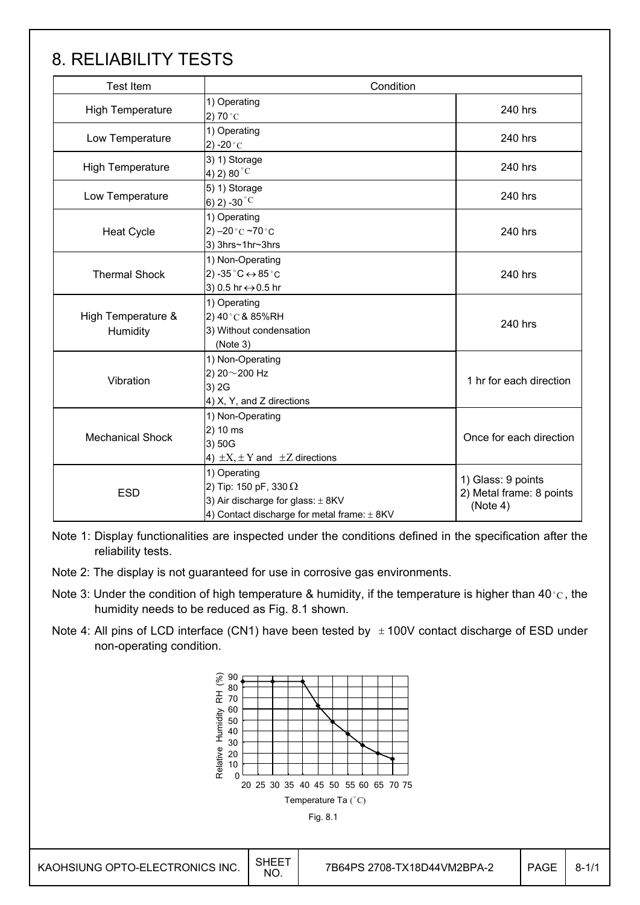## 8. RELIABILITY TESTS

| <b>Test Item</b>                                                                                                                                       | Condition                                                                                       |                                                            |  |
|--------------------------------------------------------------------------------------------------------------------------------------------------------|-------------------------------------------------------------------------------------------------|------------------------------------------------------------|--|
| <b>High Temperature</b>                                                                                                                                | 1) Operating<br>2) 70 $^{\circ}$ C                                                              | 240 hrs                                                    |  |
| Low Temperature                                                                                                                                        | 1) Operating<br>2) -20 $^{\circ}$ C                                                             | 240 hrs                                                    |  |
| <b>High Temperature</b>                                                                                                                                | 3) 1) Storage<br>4) 2) 80 $^{\circ}$ C                                                          | 240 hrs                                                    |  |
| Low Temperature                                                                                                                                        | 5) 1) Storage<br>6) 2) -30 $^{\circ}$ C                                                         | 240 hrs                                                    |  |
| <b>Heat Cycle</b>                                                                                                                                      | 1) Operating<br>2) $-20$ °C $-70$ °C<br>3) 3hrs~1hr~3hrs                                        | 240 hrs                                                    |  |
| <b>Thermal Shock</b>                                                                                                                                   | 1) Non-Operating<br>2) -35 $^{\circ}$ C $\leftrightarrow$ 85 $^{\circ}$ C<br>3) 0.5 hr ↔ 0.5 hr | 240 hrs                                                    |  |
| High Temperature &<br>Humidity                                                                                                                         | 1) Operating<br>2) 40 °C & 85%RH<br>3) Without condensation<br>(Note 3)                         | 240 hrs                                                    |  |
| Vibration                                                                                                                                              | 1) Non-Operating<br>2) 20~200 Hz<br>3) 2G<br>4) X, Y, and Z directions                          | 1 hr for each direction                                    |  |
| <b>Mechanical Shock</b>                                                                                                                                | 1) Non-Operating<br>2) 10 ms<br>3) 50G<br>4) $\pm X$ , $\pm Y$ and $\pm Z$ directions           | Once for each direction                                    |  |
| 1) Operating<br>2) Tip: 150 pF, 330 $\Omega$<br><b>ESD</b><br>3) Air discharge for glass: $\pm$ 8KV<br>4) Contact discharge for metal frame: $\pm$ 8KV |                                                                                                 | 1) Glass: 9 points<br>2) Metal frame: 8 points<br>(Note 4) |  |

Note 1: Display functionalities are inspected under the conditions defined in the specification after the reliability tests.

- Note 2: The display is not guaranteed for use in corrosive gas environments.
- Note 3: Under the condition of high temperature & humidity, if the temperature is higher than 40 °C, the humidity needs to be reduced as Fig. 8.1 shown.
- Note 4: All pins of LCD interface (CN1) have been tested by  $\pm$  100V contact discharge of ESD under non-operating condition.

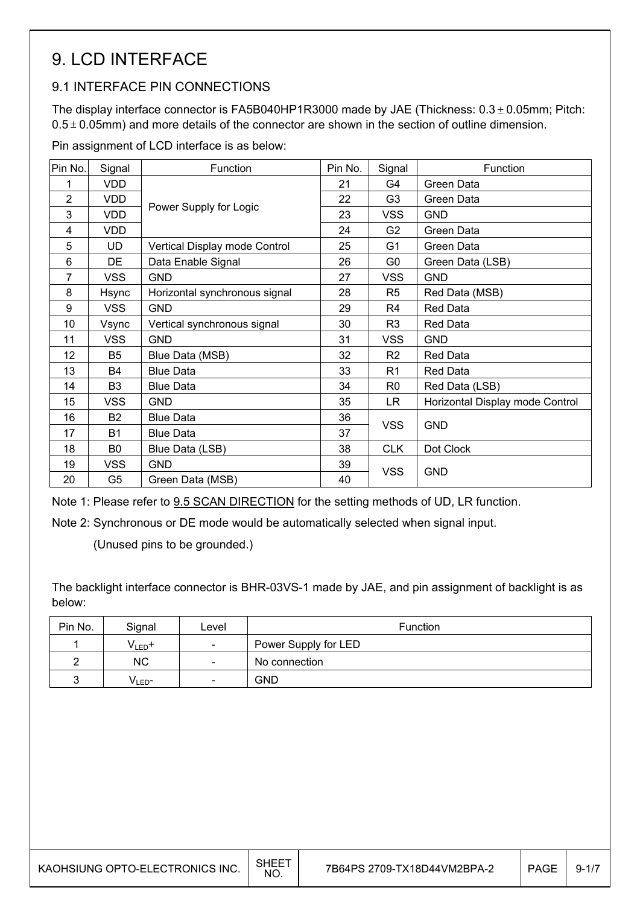## 9. LCD INTERFACE

### 9.1 INTERFACE PIN CONNECTIONS

The display interface connector is FA5B040HP1R3000 made by JAE (Thickness:  $0.3 \pm 0.05$ mm; Pitch:  $0.5 \pm 0.05$ mm) and more details of the connector are shown in the section of outline dimension.

Pin assignment of LCD interface is as below:

| Pin No.          | Signal         | Function                      | Pin No. | Signal         | Function                        |  |
|------------------|----------------|-------------------------------|---------|----------------|---------------------------------|--|
| 1                | <b>VDD</b>     |                               | 21      | G4             | Green Data                      |  |
| 2                | <b>VDD</b>     | Power Supply for Logic        |         | G <sub>3</sub> | Green Data                      |  |
| 3                | <b>VDD</b>     |                               | 23      | <b>VSS</b>     | <b>GND</b>                      |  |
| 4                | <b>VDD</b>     |                               | 24      | G <sub>2</sub> | Green Data                      |  |
| 5                | <b>UD</b>      | Vertical Display mode Control | 25      | G <sub>1</sub> | Green Data                      |  |
| 6                | DE             | Data Enable Signal            | 26      | G <sub>0</sub> | Green Data (LSB)                |  |
| $\overline{7}$   | <b>VSS</b>     | <b>GND</b>                    | 27      | <b>VSS</b>     | <b>GND</b>                      |  |
| 8                | <b>Hsync</b>   | Horizontal synchronous signal | 28      | R5             | Red Data (MSB)                  |  |
| $\boldsymbol{9}$ | <b>VSS</b>     | <b>GND</b>                    | 29      | R4             | <b>Red Data</b>                 |  |
| 10               | Vsync          | Vertical synchronous signal   | 30      | R <sub>3</sub> | <b>Red Data</b>                 |  |
| 11               | <b>VSS</b>     | <b>GND</b>                    | 31      | <b>VSS</b>     | <b>GND</b>                      |  |
| 12               | B <sub>5</sub> | Blue Data (MSB)               | 32      | R <sub>2</sub> | Red Data                        |  |
| 13               | <b>B4</b>      | <b>Blue Data</b>              | 33      | R <sub>1</sub> | Red Data                        |  |
| 14               | B3             | <b>Blue Data</b>              | 34      | R0             | Red Data (LSB)                  |  |
| 15               | <b>VSS</b>     | <b>GND</b>                    | 35      | LR.            | Horizontal Display mode Control |  |
| 16               | <b>B2</b>      | <b>Blue Data</b>              | 36      | <b>VSS</b>     | <b>GND</b>                      |  |
| 17               | B1             | <b>Blue Data</b>              | 37      |                |                                 |  |
| 18               | B <sub>0</sub> | Blue Data (LSB)               | 38      | <b>CLK</b>     | Dot Clock                       |  |
| 19               | <b>VSS</b>     | <b>GND</b>                    | 39      | <b>VSS</b>     | <b>GND</b>                      |  |
| 20               | G5             | Green Data (MSB)              | 40      |                |                                 |  |

Note 1: Please refer to 9.5 SCAN DIRECTION for the setting methods of UD, LR function.

Note 2: Synchronous or DE mode would be automatically selected when signal input.

(Unused pins to be grounded.)

The backlight interface connector is BHR-03VS-1 made by JAE, and pin assignment of backlight is as below:

| Pin No. | Signal             | Level                    | <b>Function</b>      |
|---------|--------------------|--------------------------|----------------------|
|         | $V_{LED}$ +        | $\overline{\phantom{a}}$ | Power Supply for LED |
|         | <b>NC</b>          | $\overline{\phantom{a}}$ | No connection        |
|         | V <sub>LED</sub> - | $\overline{\phantom{a}}$ | GND                  |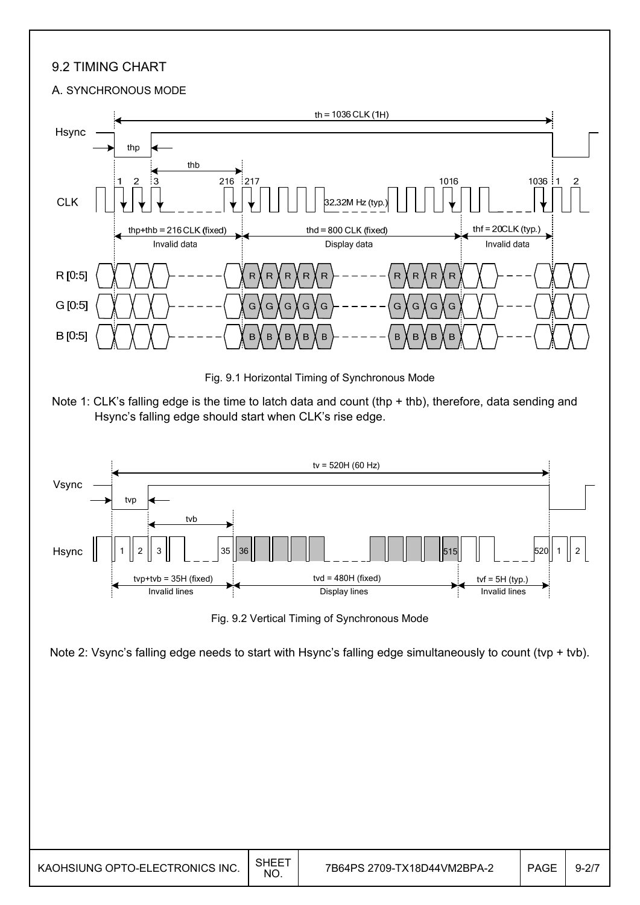### 9.2 TIMING CHART

#### A. SYNCHRONOUS MODE





Fig. 9.2 Vertical Timing of Synchronous Mode

Note 2: Vsync's falling edge needs to start with Hsync's falling edge simultaneously to count (tvp + tvb).

| KAOHSIUNG OPTO-ELECTRONICS INC. | SHEET<br><b>NC</b> |  | <b>PAGE</b> | $9 - 27$ |
|---------------------------------|--------------------|--|-------------|----------|
|---------------------------------|--------------------|--|-------------|----------|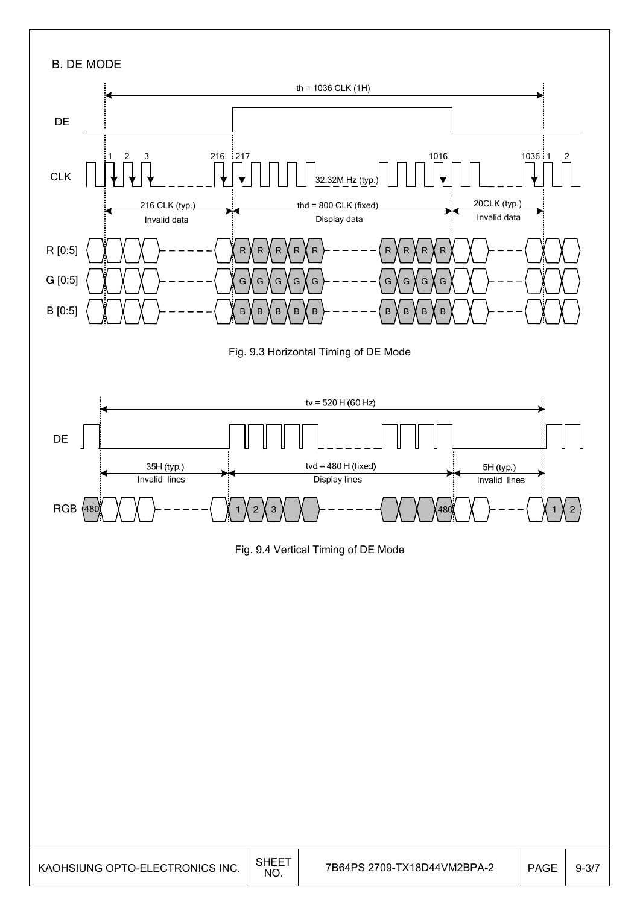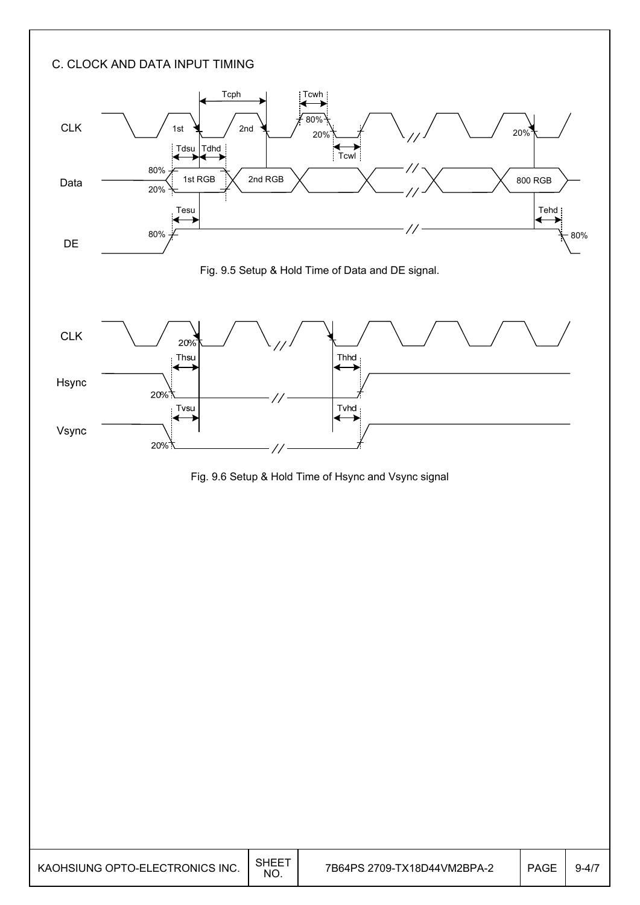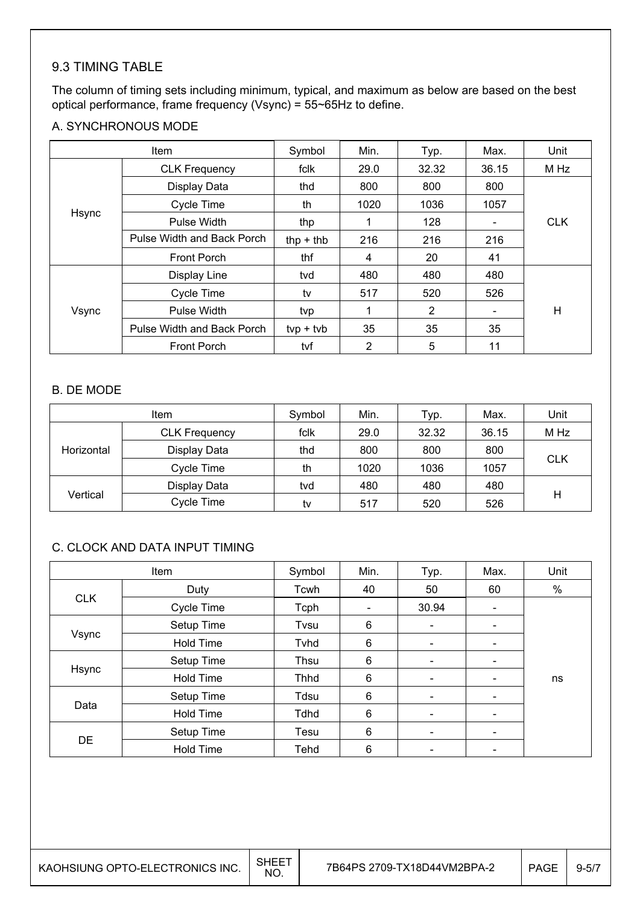### 9.3 TIMING TABLE

The column of timing sets including minimum, typical, and maximum as below are based on the best optical performance, frame frequency (Vsync) = 55~65Hz to define.

#### A. SYNCHRONOUS MODE

| Item  |                            | Symbol      | Min. | Typ.  | Max.                     | Unit       |
|-------|----------------------------|-------------|------|-------|--------------------------|------------|
|       | <b>CLK Frequency</b>       | fclk        | 29.0 | 32.32 | 36.15                    | M Hz       |
|       | Display Data               | thd         | 800  | 800   | 800                      |            |
|       | <b>Cycle Time</b>          | th          | 1020 | 1036  | 1057                     |            |
| Hsync | Pulse Width                | thp         | 1    | 128   |                          | <b>CLK</b> |
|       | Pulse Width and Back Porch | thp $+$ thb | 216  | 216   | 216                      |            |
|       | <b>Front Porch</b>         | thf         | 4    | 20    | 41                       |            |
|       | Display Line               | tvd         | 480  | 480   | 480                      |            |
|       | Cycle Time                 | tv          | 517  | 520   | 526                      |            |
| Vsync | Pulse Width                | tvp         |      | 2     | $\overline{\phantom{a}}$ | H          |
|       | Pulse Width and Back Porch | $typ + tvb$ | 35   | 35    | 35                       |            |
|       | <b>Front Porch</b>         | tvf         | 2    | 5     | 11                       |            |

#### B. DE MODE

|            | <b>Item</b>          | Symbol | Min. | Typ.  | Max.  | Unit |
|------------|----------------------|--------|------|-------|-------|------|
|            | <b>CLK Frequency</b> | fclk   | 29.0 | 32.32 | 36.15 | M Hz |
| Horizontal | Display Data         | thd    | 800  | 800   | 800   |      |
|            | Cycle Time           | th     | 1020 | 1036  | 1057  | CLK  |
|            | Display Data         | tvd    | 480  | 480   | 480   |      |
| Vertical   | Cycle Time           | tv     | 517  | 520   | 526   | н    |

### C. CLOCK AND DATA INPUT TIMING

|            | Item             | Symbol | Min.                         | Typ.                         | Max.                     | Unit |
|------------|------------------|--------|------------------------------|------------------------------|--------------------------|------|
|            | Duty             | Tcwh   | 40                           | 50                           | 60                       | $\%$ |
| <b>CLK</b> | Cycle Time       | Tcph   | $\qquad \qquad \blacksquare$ | 30.94                        |                          |      |
|            | Setup Time       | Tvsu   | 6                            | $\overline{\phantom{a}}$     |                          |      |
| Vsync      | <b>Hold Time</b> | Tyhd   | 6                            | $\overline{\phantom{a}}$     | -                        |      |
|            | Setup Time       | Thsu   | 6                            | $\qquad \qquad \blacksquare$ | $\overline{\phantom{a}}$ |      |
| Hsync      | <b>Hold Time</b> | Thhd   | 6                            | $\qquad \qquad \blacksquare$ |                          | ns   |
|            | Setup Time       | Tdsu   | 6                            | $\blacksquare$               | $\overline{\phantom{0}}$ |      |
| Data       | <b>Hold Time</b> | Tdhd   | 6                            | $\qquad \qquad \blacksquare$ |                          |      |
|            | Setup Time       | Tesu   | 6                            | $\overline{\phantom{a}}$     | -                        |      |
| <b>DE</b>  | <b>Hold Time</b> | Tehd   | 6                            | ۰                            |                          |      |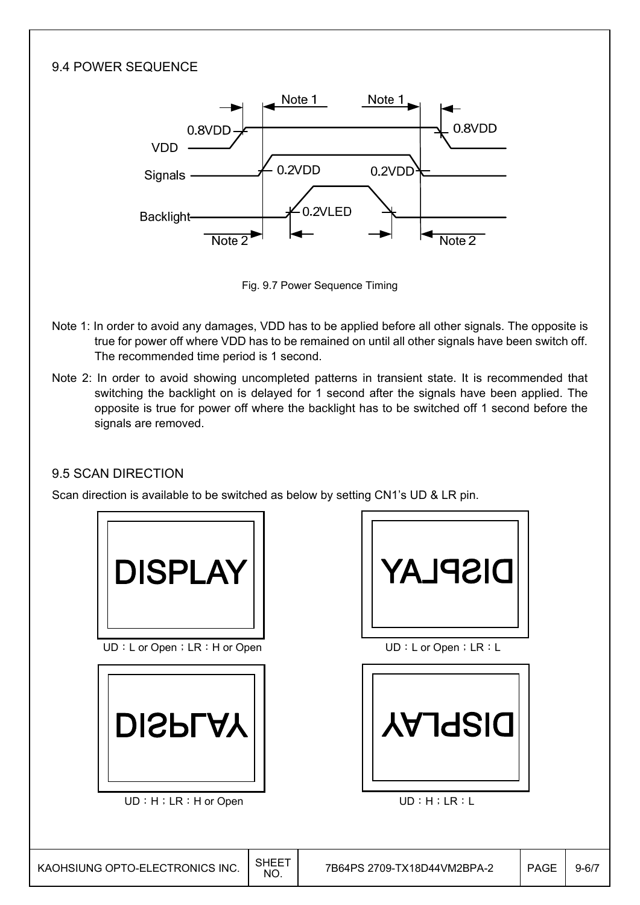### 9.4 POWER SEQUENCE Note 1 Note 1  $0.8VDD$  $0$  8VDD. VDD - $0.2VDD$ 0.2VDD Signals -0.2VLED Backlight-Note 2 Note<sub>2</sub>

Fig. 9.7 Power Sequence Timing

- Note 1: In order to avoid any damages, VDD has to be applied before all other signals. The opposite is true for power off where VDD has to be remained on until all other signals have been switch off. The recommended time period is 1 second.
- Note 2: In order to avoid showing uncompleted patterns in transient state. It is recommended that switching the backlight on is delayed for 1 second after the signals have been applied. The opposite is true for power off where the backlight has to be switched off 1 second before the signals are removed.

## 9.5 SCAN DIRECTION

Scan direction is available to be switched as below by setting CN1's UD & LR pin.



UD : L or Open; LR : H or Open  $UD: L$  or Open; LR : L



UD : H; LR : H or Open UD : H ; LR : L



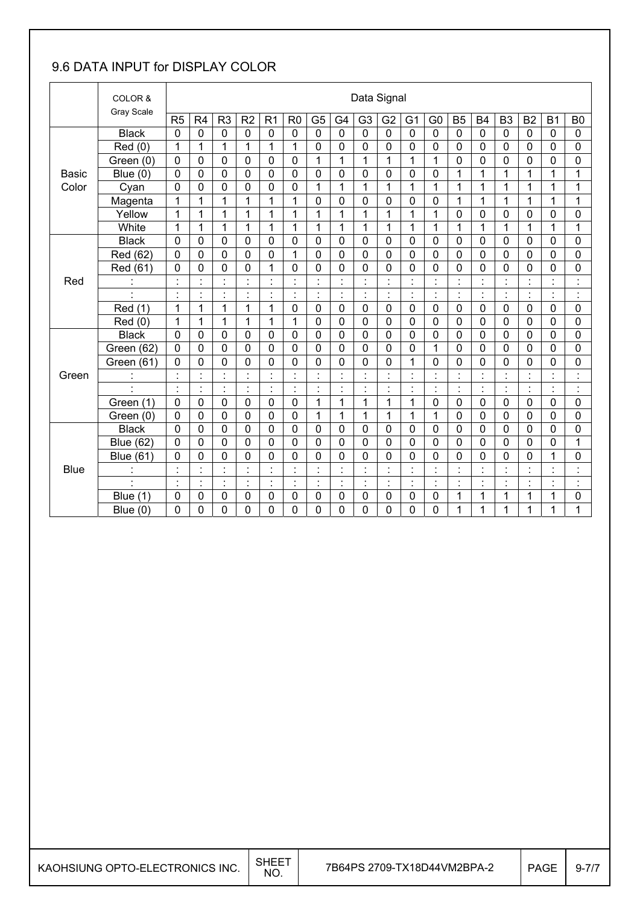## 9.6 DATA INPUT for DISPLAY COLOR

|              | COLOR &<br>Gray Scale |                |                |                                |                                            |                         |                |                                |                |                | Data Signal          |                |                                  |                                        |                |                |                |                      |                                 |
|--------------|-----------------------|----------------|----------------|--------------------------------|--------------------------------------------|-------------------------|----------------|--------------------------------|----------------|----------------|----------------------|----------------|----------------------------------|----------------------------------------|----------------|----------------|----------------|----------------------|---------------------------------|
|              |                       | R5             | R <sub>4</sub> | R <sub>3</sub>                 | R <sub>2</sub>                             | R <sub>1</sub>          | R <sub>0</sub> | G <sub>5</sub>                 | G <sub>4</sub> | G <sub>3</sub> | G <sub>2</sub>       | G <sub>1</sub> | G <sub>0</sub>                   | B <sub>5</sub>                         | <b>B4</b>      | B <sub>3</sub> | B <sub>2</sub> | B <sub>1</sub>       | B <sub>0</sub>                  |
|              | <b>Black</b>          | $\mathbf 0$    | $\pmb{0}$      | $\mathbf 0$                    | $\mathbf 0$                                | $\mathbf 0$             | $\mathbf 0$    | $\mathbf 0$                    | $\overline{0}$ | $\overline{0}$ | $\mathbf 0$          | 0              | $\mathbf 0$                      | $\mathbf 0$                            | $\mathbf 0$    | $\mathbf 0$    | $\pmb{0}$      | $\mathbf 0$          | $\mathbf 0$                     |
|              | Red(0)                | 1              | 1              | $\mathbf{1}$                   | 1                                          | 1                       | 1              | 0                              | $\mathbf 0$    | 0              | $\mathbf 0$          | 0              | $\mathbf 0$                      | $\mathbf 0$                            | $\mathbf 0$    | 0              | 0              | 0                    | 0                               |
|              | Green (0)             | $\mathbf 0$    | 0              | 0                              | 0                                          | $\mathbf 0$             | $\mathbf 0$    | $\mathbf{1}$                   | 1              | $\mathbf 1$    | 1                    | 1              | 1                                | $\mathbf 0$                            | 0              | $\mathbf 0$    | 0              | 0                    | 0                               |
| <b>Basic</b> | Blue $(0)$            | $\mathbf 0$    | $\mathbf 0$    | 0                              | 0                                          | 0                       | $\mathbf 0$    | 0                              | $\mathbf 0$    | $\overline{0}$ | $\mathbf 0$          | 0              | 0                                | 1                                      | 1              | 1              | 1              | 1                    | 1                               |
| Color        | Cyan                  | 0              | 0              | 0                              | 0                                          | 0                       | 0              | 1                              | 1              | 1              | 1                    | 1              | 1                                | 1                                      | 1              | 1              | 1              | $\mathbf 1$          | 1                               |
|              | Magenta               | 1              | 1              | 1                              | 1                                          | 1                       | 1              | 0                              | $\mathbf 0$    | 0              | $\mathbf 0$          | 0              | 0                                | 1                                      | 1              | 1              | 1              | $\mathbf{1}$         | 1                               |
|              | Yellow                | 1              | 1              | $\mathbf{1}$                   | $\mathbf{1}$                               | $\mathbf{1}$            | $\mathbf{1}$   | 1                              | 1              | $\mathbf{1}$   | $\mathbf{1}$         | 1              | $\mathbf{1}$                     | $\overline{0}$                         | $\mathbf 0$    | 0              | 0              | 0                    | 0                               |
|              | White                 | 1              | 1              | 1                              | 1                                          | 1                       | 1              | 1                              | 1              | 1              | 1                    | 1              | 1                                | 1                                      | 1              | 1              | 1              | 1                    | 1                               |
|              | <b>Black</b>          | $\mathbf 0$    | $\mathbf 0$    | 0                              | 0                                          | $\mathbf 0$             | 0              | 0                              | $\mathbf 0$    | 0              | $\mathbf 0$          | 0              | $\mathbf 0$                      | $\mathbf 0$                            | $\mathbf 0$    | $\mathbf 0$    | $\mathbf 0$    | $\mathbf 0$          | $\mathbf 0$                     |
|              | Red (62)              | $\mathbf 0$    | 0              | 0                              | 0                                          | 0                       | 1              | 0                              | $\mathbf 0$    | 0              | 0                    | 0              | $\mathbf 0$                      | $\mathbf 0$                            | $\mathbf 0$    | $\mathbf 0$    | 0              | 0                    | 0                               |
|              | Red (61)              | $\mathbf 0$    | $\mathbf 0$    | 0                              | 0                                          | 1                       | 0              | 0                              | $\mathbf 0$    | 0              | 0                    | 0              | 0                                | $\mathbf 0$                            | 0              | 0              | 0              | 0                    | 0                               |
| Red          | $\blacksquare$        | $\cdot$        | $\blacksquare$ | $\blacksquare$                 | $\blacksquare$                             | $\cdot$                 | $\cdot$        | $\blacksquare$<br>$\epsilon$   | $\blacksquare$ | $\blacksquare$ | $\blacksquare$       | $\blacksquare$ | $\blacksquare$                   | $\cdot$                                | $\blacksquare$ | $\blacksquare$ | $\blacksquare$ | $\blacksquare$       | $\blacksquare$<br>j.            |
|              | $\ddot{\phantom{a}}$  | $\blacksquare$ | $\blacksquare$ | $\blacksquare$<br>$\mathbf{r}$ | $\blacksquare$<br>$\overline{\phantom{a}}$ | $\cdot$<br>$\mathbf{r}$ | ä,             | $\blacksquare$<br>$\mathbf{r}$ | $\cdot$        | $\blacksquare$ | $\blacksquare$       | $\cdot$        | $\blacksquare$<br>$\blacksquare$ | $\blacksquare$<br>$\ddot{\phantom{0}}$ | $\blacksquare$ | $\blacksquare$ | $\blacksquare$ | $\blacksquare$       | $\blacksquare$<br>j.            |
|              | Red (1)               | 1              | 1              | 1                              | 1                                          | 1                       | 0              | 0                              | $\mathbf 0$    | 0              | $\mathbf 0$          | 0              | $\mathbf 0$                      | $\mathbf 0$                            | $\mathbf 0$    | $\mathbf 0$    | 0              | 0                    | $\mathbf 0$                     |
|              | Red (0)               | 1              | 1              | 1                              | 1                                          | 1                       | 1              | 0                              | $\mathbf 0$    | 0              | $\mathbf 0$          | 0              | 0                                | $\mathbf 0$                            | $\mathbf 0$    | 0              | 0              | 0                    | 0                               |
|              | <b>Black</b>          | $\mathbf 0$    | $\mathbf 0$    | 0                              | 0                                          | $\mathbf 0$             | 0              | 0                              | $\mathbf 0$    | 0              | $\mathbf 0$          | $\mathsf 0$    | $\mathbf 0$                      | $\mathbf 0$                            | $\mathbf 0$    | $\mathbf 0$    | 0              | 0                    | $\mathbf 0$                     |
|              | Green (62)            | 0              | 0              | $\overline{0}$                 | $\overline{0}$                             | 0                       | $\mathbf 0$    | 0                              | $\mathbf 0$    | $\overline{0}$ | $\mathbf 0$          | 0              | 1                                | $\overline{0}$                         | $\overline{0}$ | $\overline{0}$ | 0              | 0                    | 0                               |
|              | Green (61)            | 0              | 0              | 0                              | 0                                          | 0                       | 0              | 0                              | $\mathbf 0$    | 0              | 0                    | 1              | 0                                | 0                                      | 0              | 0              | 0              | 0                    | 0                               |
| Green        | ċ                     |                | $\ddot{\cdot}$ | t                              |                                            |                         | $\blacksquare$ | Ì.                             |                |                | t                    | $\cdot$        | $\overline{\phantom{a}}$         | Ì                                      |                |                | $\ddot{\cdot}$ | $\ddot{\phantom{a}}$ | t                               |
|              | $\blacksquare$        | ÷,             | ł.             | $\blacksquare$                 | $\ddot{\cdot}$                             | $\ddot{\cdot}$          | $\ddot{\cdot}$ | ċ                              | $\cdot$        | $\blacksquare$ | ÷                    | $\cdot$        | $\ddot{\phantom{a}}$             | $\ddot{\cdot}$                         | $\blacksquare$ | $\cdot$        | Ì.             | $\blacksquare$       | ÷,                              |
|              | Green (1)             | $\mathbf 0$    | 0              | 0                              | 0                                          | 0                       | $\mathbf 0$    | $\mathbf{1}$                   | 1              | 1              | 1                    | 1              | 0                                | $\mathbf 0$                            | $\mathbf 0$    | $\mathbf 0$    | 0              | 0                    | 0                               |
|              | Green (0)             | 0              | 0              | 0                              | 0                                          | 0                       | $\mathbf 0$    | 1                              | 1              | 1              | 1                    | 1              | 1                                | $\mathbf 0$                            | 0              | 0              | 0              | 0                    | 0                               |
|              | <b>Black</b>          | $\mathbf 0$    | 0              | 0                              | 0                                          | 0                       | $\mathbf 0$    | 0                              | $\mathbf 0$    | 0              | 0                    | 0              | 0                                | $\mathbf 0$                            | $\mathbf 0$    | $\mathbf 0$    | 0              | 0                    | 0                               |
|              | <b>Blue (62)</b>      | $\mathbf 0$    | 0              | 0                              | 0                                          | 0                       | 0              | 0                              | $\overline{0}$ | $\overline{0}$ | $\mathbf 0$          | $\mathbf 0$    | $\mathbf 0$                      | $\mathbf 0$                            | 0              | $\overline{0}$ | 0              | 0                    | 1                               |
|              | <b>Blue (61)</b>      | 0              | 0              | 0                              | 0                                          | 0                       | 0              | 0                              | $\mathbf 0$    | 0              | 0                    | 0              | 0                                | $\mathbf 0$                            | $\mathbf 0$    | 0              | 0              | 1                    | 0                               |
| <b>Blue</b>  | $\mathbf{r}$          | $\cdot$        | $\blacksquare$ | $\blacksquare$                 |                                            | ٠                       | $\blacksquare$ | $\blacksquare$<br>٠            |                |                | $\blacksquare$       | l,             | $\blacksquare$<br>$\blacksquare$ | $\cdot$                                |                |                | $\blacksquare$ | $\blacksquare$       | $\cdot$<br>$\ddot{\phantom{a}}$ |
|              | $\blacksquare$        | $\blacksquare$ | ł.             | $\blacksquare$                 | $\blacksquare$                             | $\ddot{\cdot}$          | $\blacksquare$ | $\blacksquare$                 | $\cdot$        | $\blacksquare$ | $\ddot{\phantom{a}}$ | $\blacksquare$ | $\blacksquare$                   | $\blacksquare$                         | $\blacksquare$ | $\blacksquare$ | $\blacksquare$ | $\blacksquare$       | $\ddot{\phantom{a}}$            |
|              | (1)<br><b>Blue</b>    | 0              | 0              | 0                              | 0                                          | 0                       | 0              | 0                              | $\mathbf 0$    | 0              | $\mathbf 0$          | 0              | 0                                | 1                                      | 1              | 1              | 1              | 1                    | 0                               |
|              | Blue $(0)$            | 0              | 0              | 0                              | 0                                          | 0                       | 0              | 0                              | $\mathbf 0$    | 0              | 0                    | 0              | 0                                | 1                                      | 1              | 1              | 1              | 1                    | 1                               |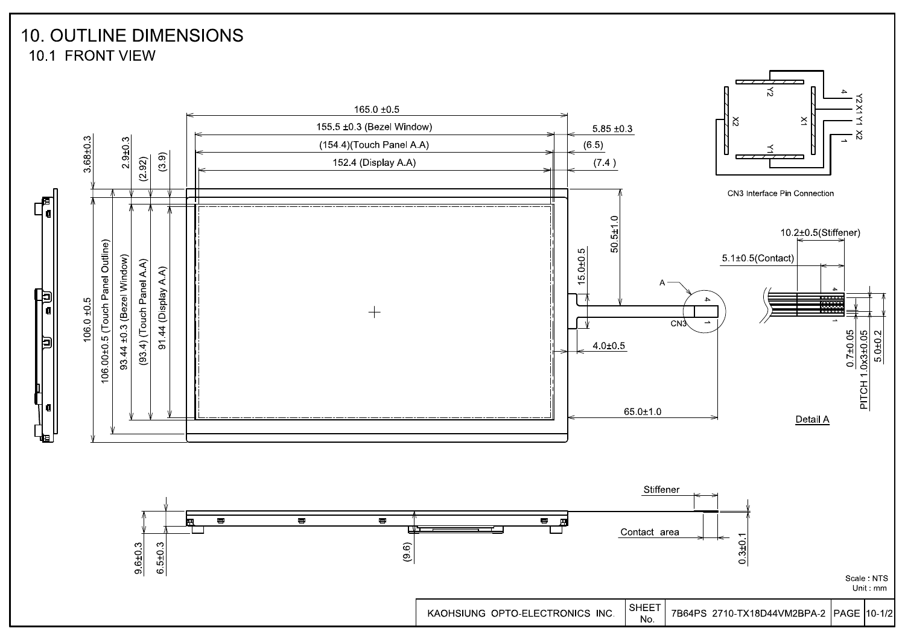## **10. OUTLINE DIMENSIONS** 10.1 FRONT VIEW

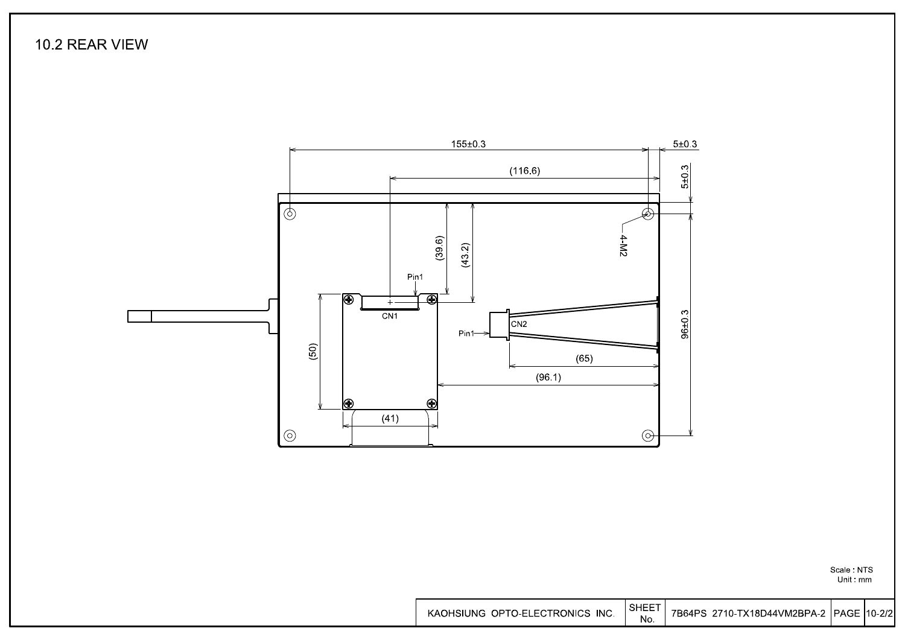10.2 REAR VIEW



Scale : NTS<br>Unit : mm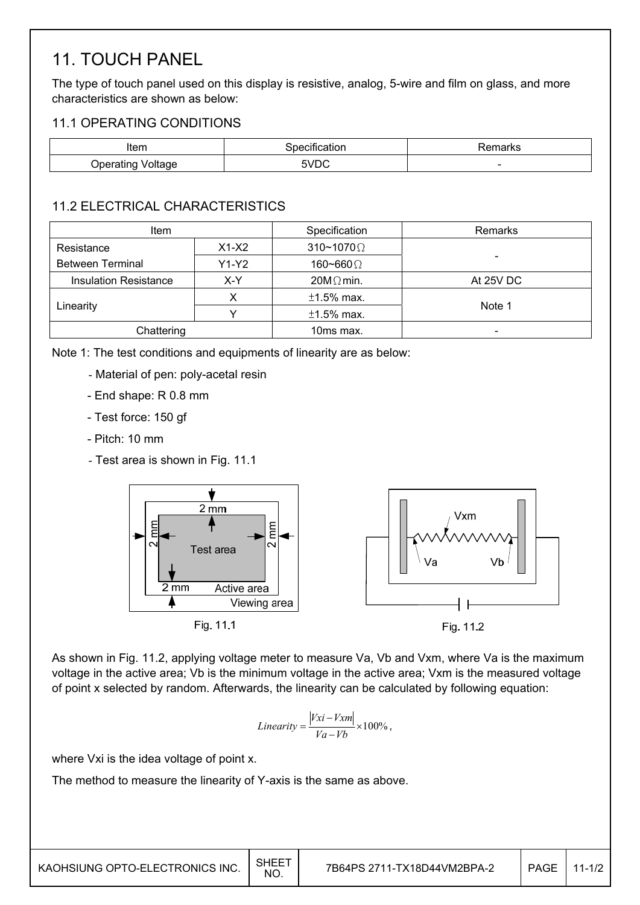## 11. TOUCH PANEL

The type of touch panel used on this display is resistive, analog, 5-wire and film on glass, and more characteristics are shown as below:

### 11.1 OPERATING CONDITIONS

| Item                 | . .<br>cification<br>specit | marks                    |
|----------------------|-----------------------------|--------------------------|
| Voltage<br>Jperating | 5VDC                        | $\overline{\phantom{0}}$ |

## 11.2 ELECTRICAL CHARACTERISTICS

| Item                         |         | Specification            | Remarks   |  |
|------------------------------|---------|--------------------------|-----------|--|
| Resistance                   | $X1-X2$ | $310 \times 1070 \Omega$ |           |  |
| <b>Between Terminal</b>      | $Y1-Y2$ | 160~660 $\Omega$         |           |  |
| <b>Insulation Resistance</b> | X-Y     | $20M\Omega$ min.         | At 25V DC |  |
|                              |         |                          |           |  |
| Linearity                    |         | $±1.5\%$ max.            | Note 1    |  |
| Chattering                   |         | 10ms max.                | -         |  |

Note 1: The test conditions and equipments of linearity are as below:

- Material of pen: poly-acetal resin
- End shape: R 0.8 mm
- Test force: 150 gf
- Pitch: 10 mm
- Test area is shown in Fig. 11.1



As shown in Fig. 11.2, applying voltage meter to measure Va, Vb and Vxm, where Va is the maximum voltage in the active area; Vb is the minimum voltage in the active area; Vxm is the measured voltage of point x selected by random. Afterwards, the linearity can be calculated by following equation:

$$
Linearity = \frac{|Vxi - Vxm|}{Va - Vb} \times 100\%,
$$

where Vxi is the idea voltage of point x.

The method to measure the linearity of Y-axis is the same as above.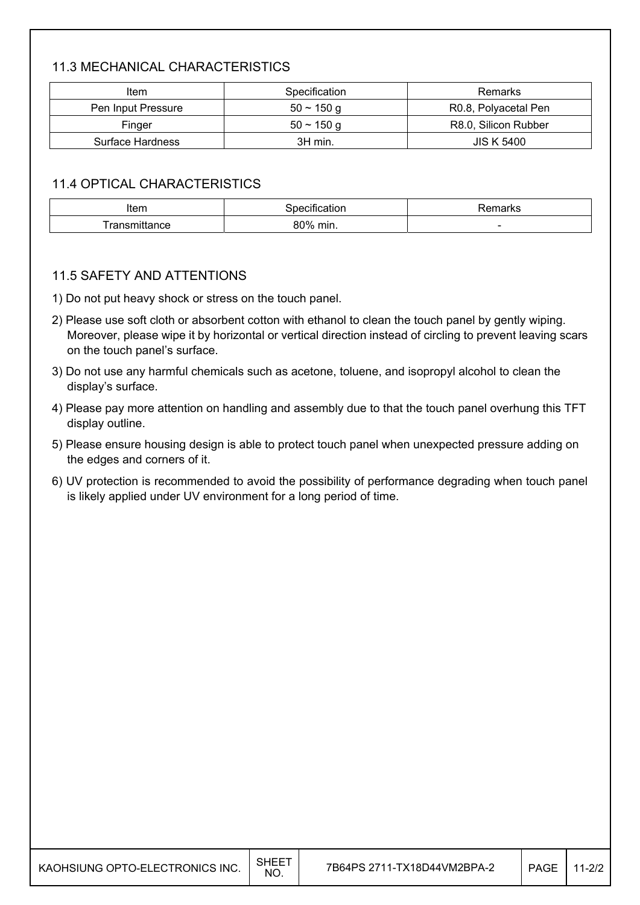## 11.3 MECHANICAL CHARACTERISTICS

| Item               | Specification | <b>Remarks</b>       |
|--------------------|---------------|----------------------|
| Pen Input Pressure | $50 - 150$ q  | R0.8, Polyacetal Pen |
| Finger             | $50 - 150$ q  | R8.0, Silicon Rubber |
| Surface Hardness   | 3H min.       | <b>JIS K 5400</b>    |

### 11.4 OPTICAL CHARACTERISTICS

| Item     | cauon | ⊀emarks                  |
|----------|-------|--------------------------|
| mittance | 80%   |                          |
| . .      | min.  | $\overline{\phantom{a}}$ |

#### 11.5 SAFETY AND ATTENTIONS

- 1) Do not put heavy shock or stress on the touch panel.
- 2) Please use soft cloth or absorbent cotton with ethanol to clean the touch panel by gently wiping. Moreover, please wipe it by horizontal or vertical direction instead of circling to prevent leaving scars on the touch panel's surface.
- 3) Do not use any harmful chemicals such as acetone, toluene, and isopropyl alcohol to clean the display's surface.
- 4) Please pay more attention on handling and assembly due to that the touch panel overhung this TFT display outline.
- 5) Please ensure housing design is able to protect touch panel when unexpected pressure adding on the edges and corners of it.
- 6) UV protection is recommended to avoid the possibility of performance degrading when touch panel is likely applied under UV environment for a long period of time.

| KAOHSIUNG OPTO-ELECTRONICS INC. | <b>SHEET</b><br>NO. | 7B64PS 2711-TX18D44VM2BPA-2 | <b>PAGE</b> | $11 - 2/2$ |
|---------------------------------|---------------------|-----------------------------|-------------|------------|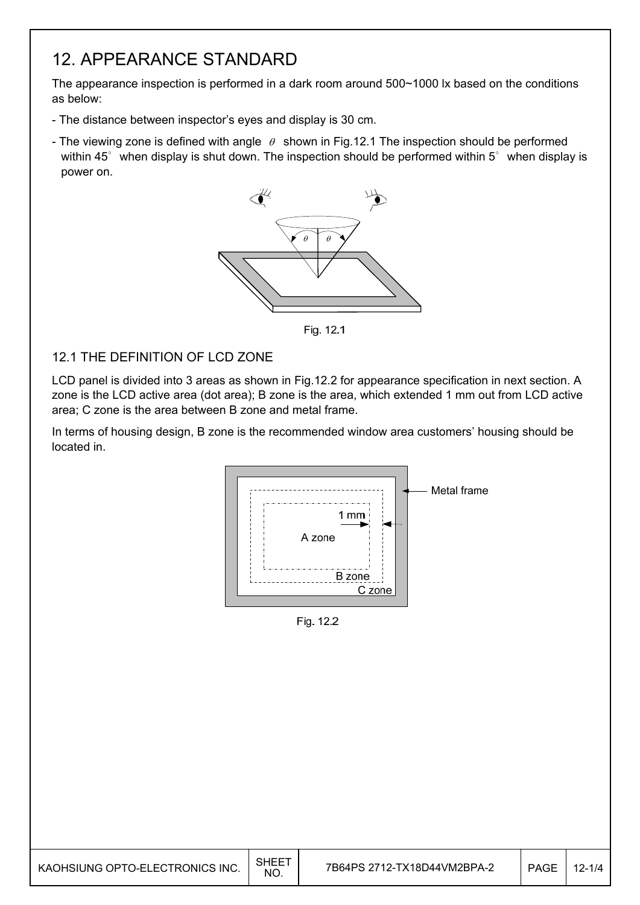## 12. APPEARANCE STANDARD

The appearance inspection is performed in a dark room around 500~1000 lx based on the conditions as below:

- The distance between inspector's eyes and display is 30 cm.
- The viewing zone is defined with angle  $\theta$  shown in Fig.12.1 The inspection should be performed within 45 $^{\circ}$  when display is shut down. The inspection should be performed within 5 $^{\circ}$  when display is power on.



Fig. 12.1

#### 12.1 THE DEFINITION OF LCD ZONE

LCD panel is divided into 3 areas as shown in Fig.12.2 for appearance specification in next section. A zone is the LCD active area (dot area); B zone is the area, which extended 1 mm out from LCD active area; C zone is the area between B zone and metal frame.

In terms of housing design, B zone is the recommended window area customers' housing should be located in.



Fig. 12.2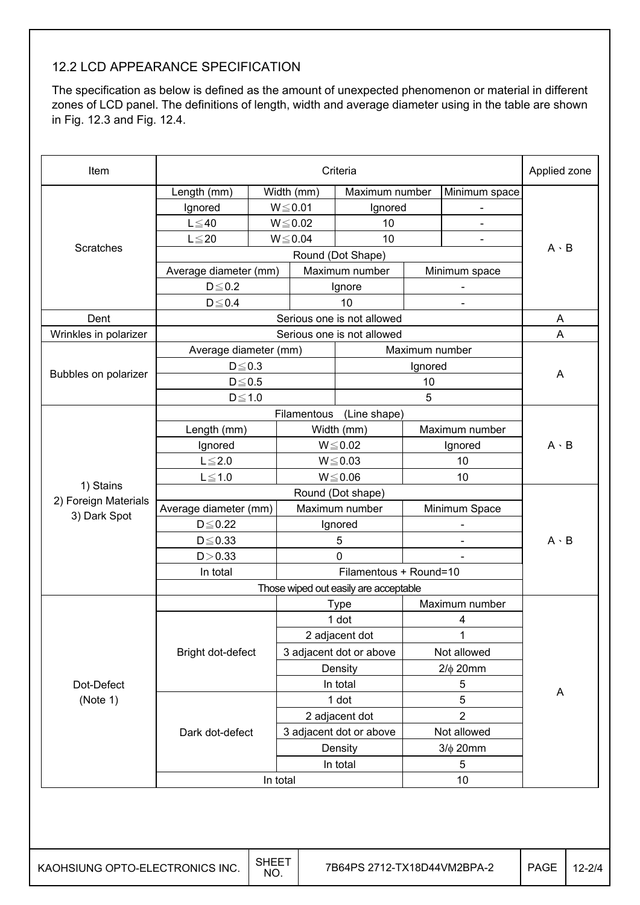## 12.2 LCD APPEARANCE SPECIFICATION

The specification as below is defined as the amount of unexpected phenomenon or material in different zones of LCD panel. The definitions of length, width and average diameter using in the table are shown in Fig. 12.3 and Fig. 12.4.

| Item                            |                       | Applied zone        |                                           |                                       |                  |                          |             |             |  |
|---------------------------------|-----------------------|---------------------|-------------------------------------------|---------------------------------------|------------------|--------------------------|-------------|-------------|--|
|                                 | Length (mm)           |                     | $\overline{\text{Width}}$ (mm)            | Maximum number                        |                  | Minimum space            |             |             |  |
|                                 | Ignored               |                     | $W \le 0.01$                              | Ignored                               |                  |                          |             |             |  |
|                                 | $L \leq 40$           |                     | $W \le 0.02$                              | 10                                    |                  | $\overline{a}$           |             |             |  |
|                                 | $L \leq 20$           |                     | $W \le 0.04$<br>10                        |                                       |                  |                          |             |             |  |
| Scratches                       | Round (Dot Shape)     |                     |                                           |                                       |                  |                          |             | $A \cdot B$ |  |
|                                 | Average diameter (mm) |                     |                                           | Maximum number                        |                  | Minimum space            |             |             |  |
|                                 | $D \le 0.2$           |                     |                                           | Ignore                                |                  | -                        |             |             |  |
|                                 | $D \le 0.4$           |                     |                                           | 10                                    |                  |                          |             |             |  |
| Dent                            |                       |                     |                                           | Serious one is not allowed            |                  |                          | A           |             |  |
| Wrinkles in polarizer           |                       |                     |                                           | Serious one is not allowed            |                  |                          | A           |             |  |
|                                 | Average diameter (mm) |                     |                                           |                                       | Maximum number   |                          |             |             |  |
|                                 | $D \le 0.3$           |                     |                                           |                                       | Ignored          |                          |             |             |  |
| Bubbles on polarizer            | $D \le 0.5$           |                     |                                           |                                       | 10               |                          | A           |             |  |
|                                 | $D \le 1.0$           |                     |                                           |                                       | 5                |                          |             |             |  |
|                                 |                       |                     | Filamentous                               | (Line shape)                          |                  |                          |             |             |  |
|                                 | Length (mm)           |                     |                                           | Width (mm)                            |                  | Maximum number           |             |             |  |
|                                 | Ignored               |                     |                                           | $W \le 0.02$                          |                  | Ignored                  | $A \cdot B$ |             |  |
|                                 | $L \leq 2.0$          |                     | $W \le 0.03$                              |                                       | 10               |                          |             |             |  |
|                                 | $L \leq 1.0$          |                     | $W \le 0.06$                              |                                       | 10               |                          |             |             |  |
| 1) Stains                       |                       |                     |                                           | Round (Dot shape)                     |                  |                          |             |             |  |
| 2) Foreign Materials            | Average diameter (mm) |                     |                                           | Maximum number                        |                  | Minimum Space            |             |             |  |
| 3) Dark Spot                    | $D \leq 0.22$         |                     |                                           | Ignored                               |                  | $\overline{\phantom{a}}$ |             |             |  |
|                                 | $D \leq 0.33$         |                     |                                           | 5                                     |                  |                          | $A \cdot B$ |             |  |
|                                 | D > 0.33              |                     |                                           | 0                                     |                  |                          |             |             |  |
|                                 | In total              |                     | Filamentous + Round=10                    |                                       |                  |                          |             |             |  |
|                                 |                       |                     |                                           | Those wiped out easily are acceptable |                  |                          |             |             |  |
|                                 |                       |                     |                                           | <b>Type</b>                           |                  | Maximum number           |             |             |  |
|                                 |                       |                     |                                           | 1 dot                                 |                  | 4                        |             |             |  |
|                                 |                       |                     | 2 adjacent dot<br>3 adjacent dot or above |                                       | 1<br>Not allowed |                          |             |             |  |
|                                 | Bright dot-defect     |                     |                                           |                                       |                  |                          |             |             |  |
|                                 |                       |                     |                                           | Density                               |                  | $2/\phi$ 20mm            |             |             |  |
| Dot-Defect                      |                       |                     |                                           | In total                              | 5                |                          |             |             |  |
| (Note 1)                        |                       |                     |                                           | 1 dot                                 |                  | $\mathbf 5$              | A           |             |  |
|                                 |                       |                     |                                           | 2 adjacent dot                        |                  | $\overline{2}$           |             |             |  |
|                                 | Dark dot-defect       |                     |                                           | 3 adjacent dot or above               |                  | Not allowed              |             |             |  |
|                                 |                       |                     |                                           |                                       |                  | $3/\phi$ 20mm            |             |             |  |
|                                 |                       |                     | Density<br>In total                       |                                       | 5                |                          |             |             |  |
|                                 |                       | In total            |                                           |                                       |                  | 10                       |             |             |  |
|                                 |                       |                     |                                           |                                       |                  |                          |             |             |  |
| KAOHSIUNG OPTO-ELECTRONICS INC. |                       | <b>SHEET</b><br>NO. |                                           | 7B64PS 2712-TX18D44VM2BPA-2           |                  |                          | <b>PAGE</b> | $12 - 214$  |  |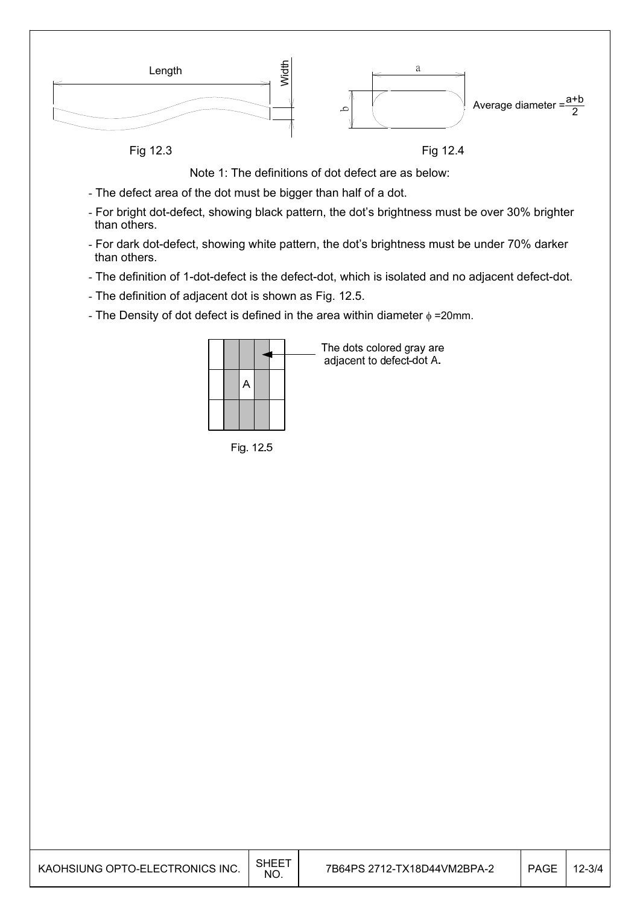

Note 1: The definitions of dot defect are as below:

- The defect area of the dot must be bigger than half of a dot.
- For bright dot-defect, showing black pattern, the dot's brightness must be over 30% brighter than others.
- For dark dot-defect, showing white pattern, the dot's brightness must be under 70% darker than others.
- The definition of 1-dot-defect is the defect-dot, which is isolated and no adjacent defect-dot.
- The definition of adjacent dot is shown as Fig. 12.5.
- The Density of dot defect is defined in the area within diameter  $\phi$  =20mm.

|  |  | The dots colored gray are<br>adjacent to defect-dot A. |
|--|--|--------------------------------------------------------|
|  |  |                                                        |
|  |  |                                                        |

Fig. 12.5

| KAOHSIUNG OPTO-ELECTRONICS INC. | SHEE <sup>-</sup><br>NO. | 7B64PS 2712-TX18D44VM2BPA-2 | <b>PAGE</b> | $2 - 3/4$ |
|---------------------------------|--------------------------|-----------------------------|-------------|-----------|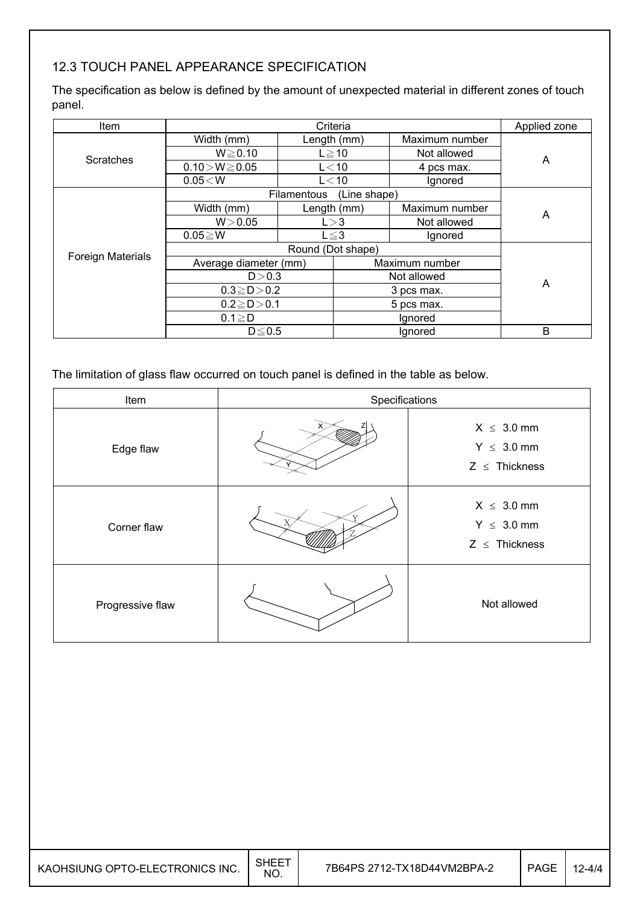## 12.3 TOUCH PANEL APPEARANCE SPECIFICATION

The specification as below is defined by the amount of unexpected material in different zones of touch panel.

| Item                     |                       | Applied zone |              |                |   |  |
|--------------------------|-----------------------|--------------|--------------|----------------|---|--|
|                          | Width (mm)            | Length (mm)  |              | Maximum number |   |  |
| Scratches                | $W \ge 0.10$          |              | $L \ge 10$   | Not allowed    | A |  |
|                          | $0.10 > W \ge 0.05$   |              | $L<$ 10      | 4 pcs max.     |   |  |
|                          | 0.05 < W              |              | $L<$ 10      | Ignored        |   |  |
|                          |                       | Filamentous  | (Line shape) |                |   |  |
|                          | Width (mm)            |              | Length (mm)  | Maximum number | A |  |
|                          | W > 0.05              |              | L > 3        | Not allowed    |   |  |
|                          | $0.05 \geq W$         |              | $L \leq 3$   | Ignored        |   |  |
| <b>Foreign Materials</b> |                       |              |              |                |   |  |
|                          | Average diameter (mm) |              |              | Maximum number |   |  |
|                          | D > 0.3               |              |              | Not allowed    | A |  |
|                          | $0.3 \ge D > 0.2$     |              |              | 3 pcs max.     |   |  |
|                          | $0.2 \ge D > 0.1$     |              |              | 5 pcs max.     |   |  |
|                          | $0.1 \geq D$          |              |              | Ignored        |   |  |
|                          | $D \leq 0.5$          |              |              | Ignored        | B |  |

The limitation of glass flaw occurred on touch panel is defined in the table as below.

| Item             | Specifications |                                                          |  |
|------------------|----------------|----------------------------------------------------------|--|
| Edge flaw        |                | $X \leq 3.0$ mm<br>$Y \leq 3.0$ mm<br>$Z \leq$ Thickness |  |
| Corner flaw      |                | $X \leq 3.0$ mm<br>$Y \leq 3.0$ mm<br>$Z \leq$ Thickness |  |
| Progressive flaw |                | Not allowed                                              |  |

| KAOHSIUNG OPTO-ELECTRONICS INC. | SHEE.<br>NO. | 7B64PS 2712-TX18D44VM2BPA-2 | PAGE | 12-4/4 |
|---------------------------------|--------------|-----------------------------|------|--------|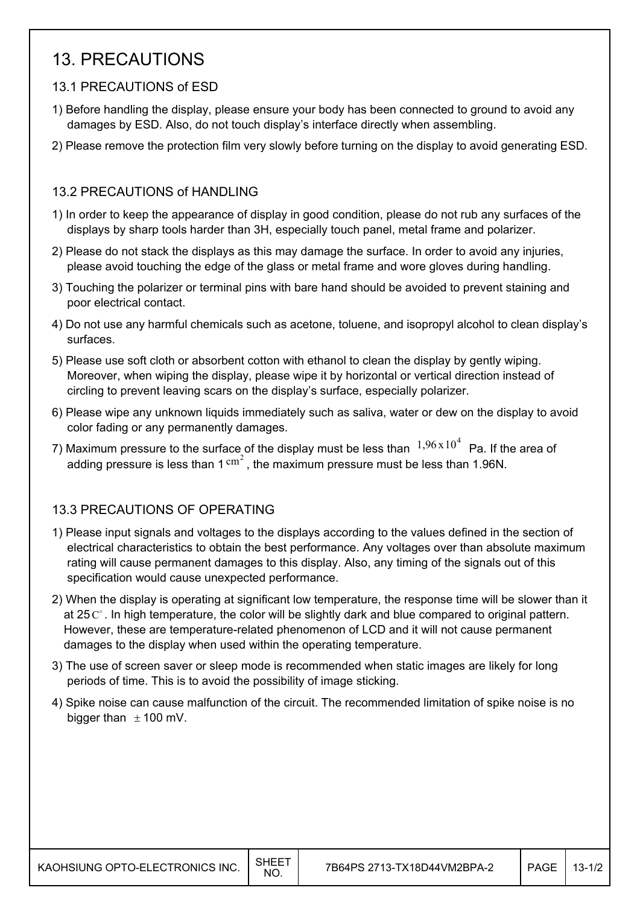## 13. PRECAUTIONS

## 13.1 PRECAUTIONS of ESD

- 1) Before handling the display, please ensure your body has been connected to ground to avoid any damages by ESD. Also, do not touch display's interface directly when assembling.
- 2) Please remove the protection film very slowly before turning on the display to avoid generating ESD.

### 13.2 PRECAUTIONS of HANDLING

- 1) In order to keep the appearance of display in good condition, please do not rub any surfaces of the displays by sharp tools harder than 3H, especially touch panel, metal frame and polarizer.
- 2) Please do not stack the displays as this may damage the surface. In order to avoid any injuries, please avoid touching the edge of the glass or metal frame and wore gloves during handling.
- 3) Touching the polarizer or terminal pins with bare hand should be avoided to prevent staining and poor electrical contact.
- 4) Do not use any harmful chemicals such as acetone, toluene, and isopropyl alcohol to clean display's surfaces.
- 5) Please use soft cloth or absorbent cotton with ethanol to clean the display by gently wiping. Moreover, when wiping the display, please wipe it by horizontal or vertical direction instead of circling to prevent leaving scars on the display's surface, especially polarizer.
- 6) Please wipe any unknown liquids immediately such as saliva, water or dew on the display to avoid color fading or any permanently damages.
- 7) Maximum pressure to the surface of the display must be less than  $1,96 \times 10^4$  Pa. If the area of adding pressure is less than  $1 \text{ cm}^2$ , the maximum pressure must be less than 1.96N.

## 13.3 PRECAUTIONS OF OPERATING

- 1) Please input signals and voltages to the displays according to the values defined in the section of electrical characteristics to obtain the best performance. Any voltages over than absolute maximum rating will cause permanent damages to this display. Also, any timing of the signals out of this specification would cause unexpected performance.
- 2) When the display is operating at significant low temperature, the response time will be slower than it at 25  $\mathbb{C}^{\circ}$ . In high temperature, the color will be slightly dark and blue compared to original pattern. However, these are temperature-related phenomenon of LCD and it will not cause permanent damages to the display when used within the operating temperature.
- 3) The use of screen saver or sleep mode is recommended when static images are likely for long periods of time. This is to avoid the possibility of image sticking.
- 4) Spike noise can cause malfunction of the circuit. The recommended limitation of spike noise is no bigger than  $\pm$  100 mV.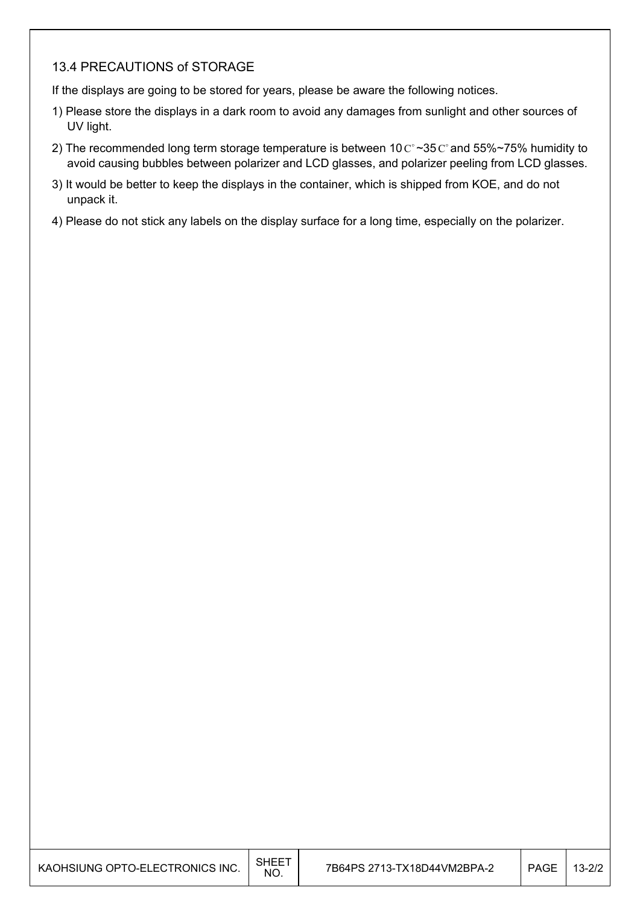### 13.4 PRECAUTIONS of STORAGE

If the displays are going to be stored for years, please be aware the following notices.

- 1) Please store the displays in a dark room to avoid any damages from sunlight and other sources of UV light.
- 2) The recommended long term storage temperature is between  $10 \degree \degree 35 \degree$  and 55%~75% humidity to avoid causing bubbles between polarizer and LCD glasses, and polarizer peeling from LCD glasses.
- 3) It would be better to keep the displays in the container, which is shipped from KOE, and do not unpack it.
- 4) Please do not stick any labels on the display surface for a long time, especially on the polarizer.

| KAOHSIUNG OPTO-ELECTRONICS INC. | <b>SHEET</b><br>NO. | 7B64PS 2713-TX18D44VM2BPA-2 | <b>PAGE</b> | $13 - 2/2$ |
|---------------------------------|---------------------|-----------------------------|-------------|------------|